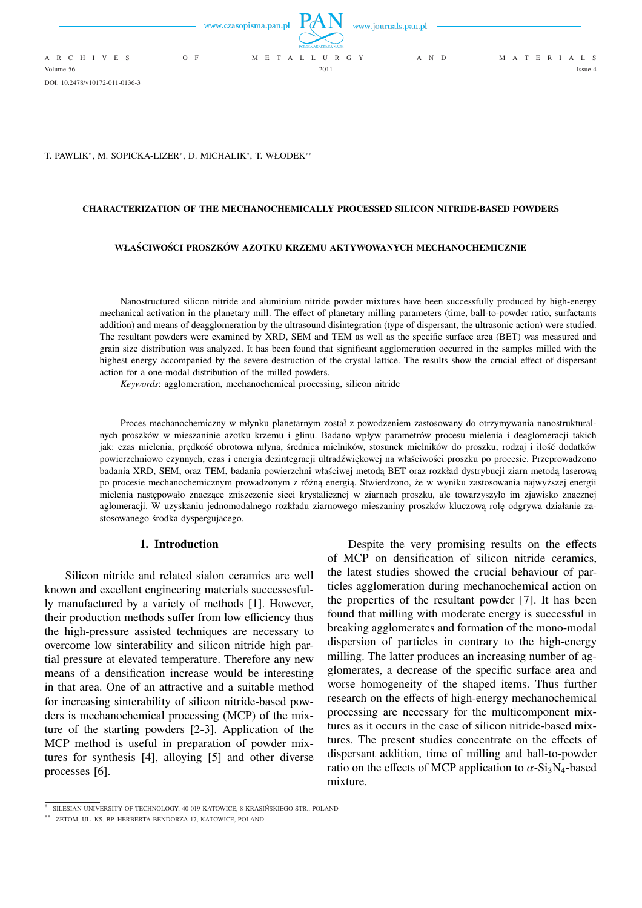

T. PAWLIK<sup>∗</sup> , M. SOPICKA-LIZER<sup>∗</sup> , D. MICHALIK<sup>∗</sup> , T. WŁODEK∗∗

## **CHARACTERIZATION OF THE MECHANOCHEMICALLY PROCESSED SILICON NITRIDE-BASED POWDERS**

## **WŁAŚCIWOŚCI PROSZKÓW AZOTKU KRZEMU AKTYWOWANYCH MECHANOCHEMICZNIE**

Nanostructured silicon nitride and aluminium nitride powder mixtures have been successfully produced by high-energy mechanical activation in the planetary mill. The effect of planetary milling parameters (time, ball-to-powder ratio, surfactants addition) and means of deagglomeration by the ultrasound disintegration (type of dispersant, the ultrasonic action) were studied. The resultant powders were examined by XRD, SEM and TEM as well as the specific surface area (BET) was measured and grain size distribution was analyzed. It has been found that significant agglomeration occurred in the samples milled with the highest energy accompanied by the severe destruction of the crystal lattice. The results show the crucial effect of dispersant action for a one-modal distribution of the milled powders.

*Keywords*: agglomeration, mechanochemical processing, silicon nitride

Proces mechanochemiczny w młynku planetarnym został z powodzeniem zastosowany do otrzymywania nanostrukturalnych proszków w mieszaninie azotku krzemu i glinu. Badano wpływ parametrów procesu mielenia i deaglomeracji takich jak: czas mielenia, prędkość obrotowa młyna, średnica mielników, stosunek mielników do proszku, rodzaj i ilość dodatków powierzchniowo czynnych, czas i energia dezintegracji ultradźwiękowej na właściwości proszku po procesie. Przeprowadzono badania XRD, SEM, oraz TEM, badania powierzchni właściwej metodą BET oraz rozkład dystrybucji ziarn metodą laserową po procesie mechanochemicznym prowadzonym z różną energią. Stwierdzono, że w wyniku zastosowania najwyższej energii mielenia następowało znaczące zniszczenie sieci krystalicznej w ziarnach proszku, ale towarzyszyło im zjawisko znacznej aglomeracji. W uzyskaniu jednomodalnego rozkładu ziarnowego mieszaniny proszków kluczową rolę odgrywa działanie zastosowanego środka dyspergujacego.

### **1. Introduction**

Silicon nitride and related sialon ceramics are well known and excellent engineering materials successesfully manufactured by a variety of methods [1]. However, their production methods suffer from low efficiency thus the high-pressure assisted techniques are necessary to overcome low sinterability and silicon nitride high partial pressure at elevated temperature. Therefore any new means of a densification increase would be interesting in that area. One of an attractive and a suitable method for increasing sinterability of silicon nitride-based powders is mechanochemical processing (MCP) of the mixture of the starting powders [2-3]. Application of the MCP method is useful in preparation of powder mixtures for synthesis [4], alloying [5] and other diverse processes [6].

Despite the very promising results on the effects of MCP on densification of silicon nitride ceramics, the latest studies showed the crucial behaviour of particles agglomeration during mechanochemical action on the properties of the resultant powder [7]. It has been found that milling with moderate energy is successful in breaking agglomerates and formation of the mono-modal dispersion of particles in contrary to the high-energy milling. The latter produces an increasing number of agglomerates, a decrease of the specific surface area and worse homogeneity of the shaped items. Thus further research on the effects of high-energy mechanochemical processing are necessary for the multicomponent mixtures as it occurs in the case of silicon nitride-based mixtures. The present studies concentrate on the effects of dispersant addition, time of milling and ball-to-powder ratio on the effects of MCP application to  $\alpha$ -Si<sub>3</sub>N<sub>4</sub>-based mixture.

<sup>∗</sup> SILESIAN UNIVERSITY OF TECHNOLOGY, 40-019 KATOWICE, 8 KRASIŃSKIEGO STR., POLAND

<sup>∗∗</sup> ZETOM, UL. KS. BP. HERBERTA BENDORZA 17, KATOWICE, POLAND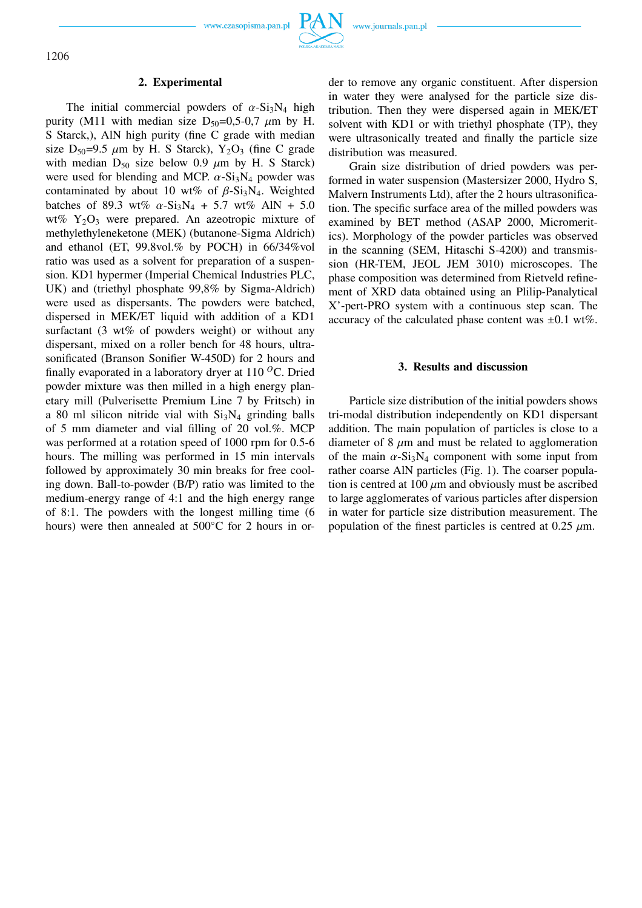

## **2. Experimental**

The initial commercial powders of  $\alpha$ -Si<sub>3</sub>N<sub>4</sub> high purity (M11 with median size  $D_{50}=0,5-0,7 \mu m$  by H. S Starck,), AlN high purity (fine C grade with median size  $D_{50}=9.5 \mu m$  by H. S Starck),  $Y_2O_3$  (fine C grade with median  $D_{50}$  size below 0.9  $\mu$ m by H. S Starck) were used for blending and MCP.  $\alpha$ -Si<sub>3</sub>N<sub>4</sub> powder was contaminated by about 10 wt% of  $\beta$ -Si<sub>3</sub>N<sub>4</sub>. Weighted batches of 89.3 wt%  $\alpha$ -Si<sub>3</sub>N<sub>4</sub> + 5.7 wt% AlN + 5.0 wt%  $Y_2O_3$  were prepared. An azeotropic mixture of methylethyleneketone (MEK) (butanone-Sigma Aldrich) and ethanol (ET, 99.8vol.% by POCH) in 66/34%vol ratio was used as a solvent for preparation of a suspension. KD1 hypermer (Imperial Chemical Industries PLC, UK) and (triethyl phosphate 99,8% by Sigma-Aldrich) were used as dispersants. The powders were batched, dispersed in MEK/ET liquid with addition of a KD1 surfactant (3 wt% of powders weight) or without any dispersant, mixed on a roller bench for 48 hours, ultrasonificated (Branson Sonifier W-450D) for 2 hours and finally evaporated in a laboratory dryer at 110 *<sup>O</sup>*C. Dried powder mixture was then milled in a high energy planetary mill (Pulverisette Premium Line 7 by Fritsch) in a 80 ml silicon nitride vial with  $Si<sub>3</sub>N<sub>4</sub>$  grinding balls of 5 mm diameter and vial filling of 20 vol.%. MCP was performed at a rotation speed of 1000 rpm for 0.5-6 hours. The milling was performed in 15 min intervals followed by approximately 30 min breaks for free cooling down. Ball-to-powder (B/P) ratio was limited to the medium-energy range of 4:1 and the high energy range of 8:1. The powders with the longest milling time (6 hours) were then annealed at 500℃ for 2 hours in order to remove any organic constituent. After dispersion in water they were analysed for the particle size distribution. Then they were dispersed again in MEK/ET solvent with KD1 or with triethyl phosphate (TP), they were ultrasonically treated and finally the particle size distribution was measured.

Grain size distribution of dried powders was performed in water suspension (Mastersizer 2000, Hydro S, Malvern Instruments Ltd), after the 2 hours ultrasonification. The specific surface area of the milled powders was examined by BET method (ASAP 2000, Micromeritics). Morphology of the powder particles was observed in the scanning (SEM, Hitaschi S-4200) and transmission (HR-TEM, JEOL JEM 3010) microscopes. The phase composition was determined from Rietveld refinement of XRD data obtained using an Plilip-Panalytical X'-pert-PRO system with a continuous step scan. The accuracy of the calculated phase content was  $\pm 0.1$  wt%.

## **3. Results and discussion**

Particle size distribution of the initial powders shows tri-modal distribution independently on KD1 dispersant addition. The main population of particles is close to a diameter of 8  $\mu$ m and must be related to agglomeration of the main  $\alpha$ -Si<sub>3</sub>N<sub>4</sub> component with some input from rather coarse AlN particles (Fig. 1). The coarser population is centred at 100  $\mu$ m and obviously must be ascribed to large agglomerates of various particles after dispersion in water for particle size distribution measurement. The population of the finest particles is centred at  $0.25 \mu m$ .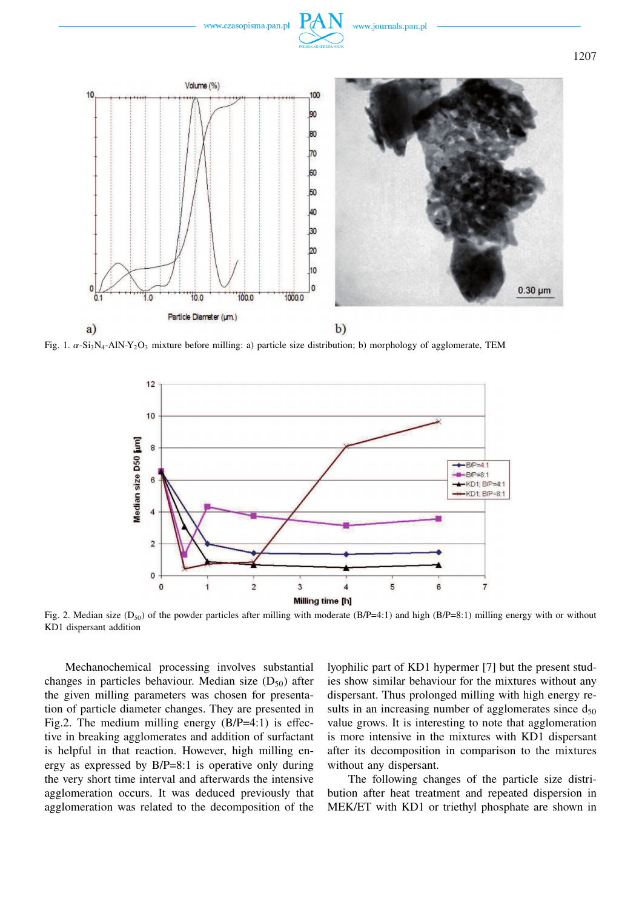

Fig. 1.  $\alpha$ -Si<sub>3</sub>N<sub>4</sub>-AlN-Y<sub>2</sub>O<sub>3</sub> mixture before milling: a) particle size distribution; b) morphology of agglomerate, TEM



Fig. 2. Median size  $(D_{50})$  of the powder particles after milling with moderate  $(B/P=4:1)$  and high  $(B/P=8:1)$  milling energy with or without KD1 dispersant addition

Mechanochemical processing involves substantial changes in particles behaviour. Median size  $(D_{50})$  after the given milling parameters was chosen for presentation of particle diameter changes. They are presented in Fig.2. The medium milling energy  $(B/P=4:1)$  is effective in breaking agglomerates and addition of surfactant is helpful in that reaction. However, high milling energy as expressed by B/P=8:1 is operative only during the very short time interval and afterwards the intensive agglomeration occurs. It was deduced previously that agglomeration was related to the decomposition of the

lyophilic part of KD1 hypermer [7] but the present studies show similar behaviour for the mixtures without any dispersant. Thus prolonged milling with high energy results in an increasing number of agglomerates since  $d_{50}$ value grows. It is interesting to note that agglomeration is more intensive in the mixtures with KD1 dispersant after its decomposition in comparison to the mixtures without any dispersant.

The following changes of the particle size distribution after heat treatment and repeated dispersion in MEK/ET with KD1 or triethyl phosphate are shown in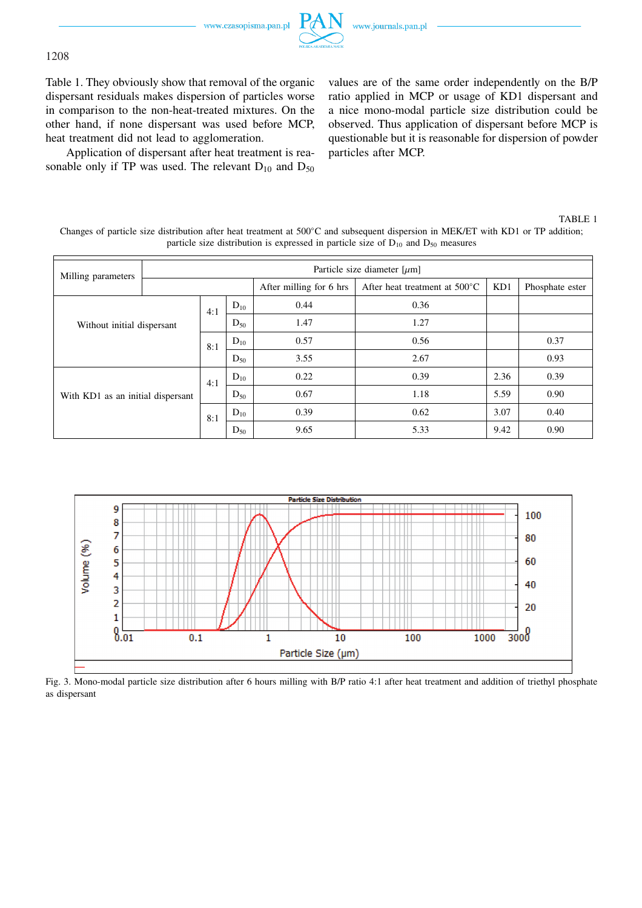

# 1208

Table 1. They obviously show that removal of the organic dispersant residuals makes dispersion of particles worse in comparison to the non-heat-treated mixtures. On the other hand, if none dispersant was used before MCP, heat treatment did not lead to agglomeration.

Application of dispersant after heat treatment is reasonable only if TP was used. The relevant  $D_{10}$  and  $D_{50}$  values are of the same order independently on the B/P ratio applied in MCP or usage of KD1 dispersant and a nice mono-modal particle size distribution could be observed. Thus application of dispersant before MCP is questionable but it is reasonable for dispersion of powder particles after MCP.

## TABLE 1

Changes of particle size distribution after heat treatment at 500◦C and subsequent dispersion in MEK/ET with KD1 or TP addition; particle size distribution is expressed in particle size of  $D_{10}$  and  $D_{50}$  measures

 $P_{\Lambda}$ 

| Milling parameters                | Particle size diameter $[\mu m]$ |          |          |                         |                               |      |                 |  |  |
|-----------------------------------|----------------------------------|----------|----------|-------------------------|-------------------------------|------|-----------------|--|--|
|                                   |                                  |          |          | After milling for 6 hrs | After heat treatment at 500°C | KD1  | Phosphate ester |  |  |
|                                   |                                  | 4:1      | $D_{10}$ | 0.44                    | 0.36                          |      |                 |  |  |
| Without initial dispersant        |                                  |          | $D_{50}$ | 1.47                    | 1.27                          |      |                 |  |  |
|                                   |                                  | 8:1      | $D_{10}$ | 0.57                    | 0.56                          |      | 0.37            |  |  |
|                                   |                                  |          | $D_{50}$ | 3.55                    | 2.67                          |      | 0.93            |  |  |
|                                   | 4:1                              | $D_{10}$ | 0.22     | 0.39                    | 2.36                          | 0.39 |                 |  |  |
| With KD1 as an initial dispersant |                                  |          | $D_{50}$ | 0.67                    | 1.18                          | 5.59 | 0.90            |  |  |
|                                   |                                  | 8:1      | $D_{10}$ | 0.39                    | 0.62                          | 3.07 | 0.40            |  |  |
|                                   |                                  | $D_{50}$ | 9.65     | 5.33                    | 9.42                          | 0.90 |                 |  |  |



Fig. 3. Mono-modal particle size distribution after 6 hours milling with B/P ratio 4:1 after heat treatment and addition of triethyl phosphate as dispersant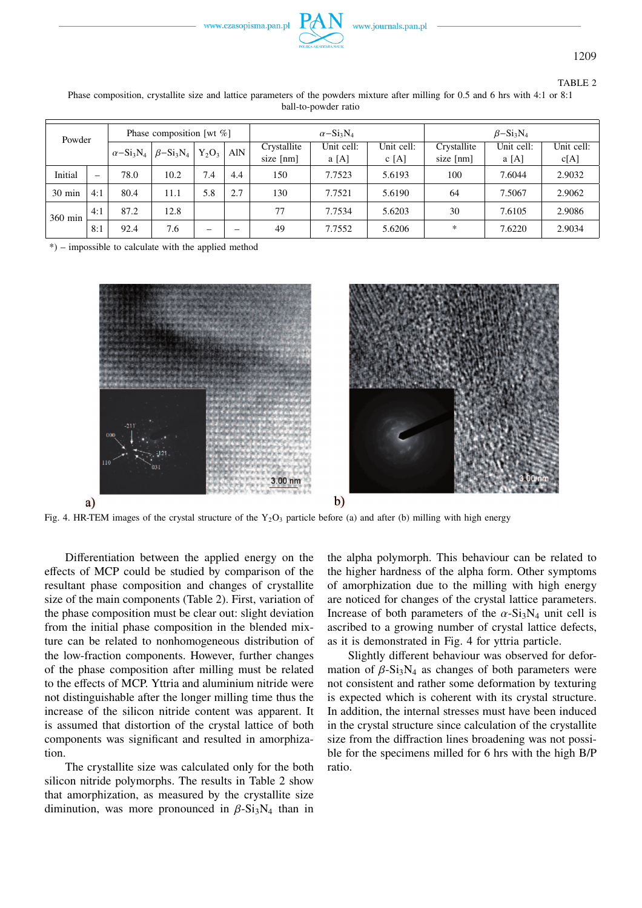

1209

TABLE 2

Phase composition, crystallite size and lattice parameters of the powders mixture after milling for 0.5 and 6 hrs with 4:1 or 8:1 ball-to-powder ratio

| Powder           |                          | Phase composition [wt $%$ ]              |                                         |          |            | $\alpha$ -Si <sub>3</sub> N <sub>4</sub> |                    |                    | $\beta$ -Si <sub>3</sub> N <sub>4</sub> |                    |                    |
|------------------|--------------------------|------------------------------------------|-----------------------------------------|----------|------------|------------------------------------------|--------------------|--------------------|-----------------------------------------|--------------------|--------------------|
|                  |                          | $\alpha$ -Si <sub>3</sub> N <sub>4</sub> | $\beta$ -Si <sub>3</sub> N <sub>4</sub> | $Y_2O_3$ | <b>AlN</b> | Crystallite<br>size ${\rm [nm]}$         | Unit cell:<br>a[A] | Unit cell:<br>c[A] | Crystallite<br>size [nm]                | Unit cell:<br>a[A] | Unit cell:<br>c[A] |
| Initial          | $\overline{\phantom{0}}$ | 78.0                                     | 10.2                                    | 7.4      | 4.4        | 150                                      | 7.7523             | 5.6193             | 100                                     | 7.6044             | 2.9032             |
| $30 \text{ min}$ | 4:1                      | 80.4                                     | 11.1                                    | 5.8      | 2.7        | 130                                      | 7.7521             | 5.6190             | 64                                      | 7.5067             | 2.9062             |
| 360 min          | 4:1                      | 87.2                                     | 12.8                                    |          |            | 77                                       | 7.7534             | 5.6203             | 30                                      | 7.6105             | 2.9086             |
|                  | 8:1                      | 92.4                                     | 7.6                                     | -        |            | 49                                       | 7.7552             | 5.6206             | $\ast$                                  | 7.6220             | 2.9034             |

\*) – impossible to calculate with the applied method



Fig. 4. HR-TEM images of the crystal structure of the  $Y_2O_3$  particle before (a) and after (b) milling with high energy

Differentiation between the applied energy on the effects of MCP could be studied by comparison of the resultant phase composition and changes of crystallite size of the main components (Table 2). First, variation of the phase composition must be clear out: slight deviation from the initial phase composition in the blended mixture can be related to nonhomogeneous distribution of the low-fraction components. However, further changes of the phase composition after milling must be related to the effects of MCP. Yttria and aluminium nitride were not distinguishable after the longer milling time thus the increase of the silicon nitride content was apparent. It is assumed that distortion of the crystal lattice of both components was significant and resulted in amorphization.

The crystallite size was calculated only for the both silicon nitride polymorphs. The results in Table 2 show that amorphization, as measured by the crystallite size diminution, was more pronounced in  $\beta$ -Si<sub>3</sub>N<sub>4</sub> than in the alpha polymorph. This behaviour can be related to the higher hardness of the alpha form. Other symptoms of amorphization due to the milling with high energy are noticed for changes of the crystal lattice parameters. Increase of both parameters of the  $\alpha$ -Si<sub>3</sub>N<sub>4</sub> unit cell is ascribed to a growing number of crystal lattice defects, as it is demonstrated in Fig. 4 for yttria particle.

Slightly different behaviour was observed for deformation of  $\beta$ -Si<sub>3</sub>N<sub>4</sub> as changes of both parameters were not consistent and rather some deformation by texturing is expected which is coherent with its crystal structure. In addition, the internal stresses must have been induced in the crystal structure since calculation of the crystallite size from the diffraction lines broadening was not possible for the specimens milled for 6 hrs with the high B/P ratio.